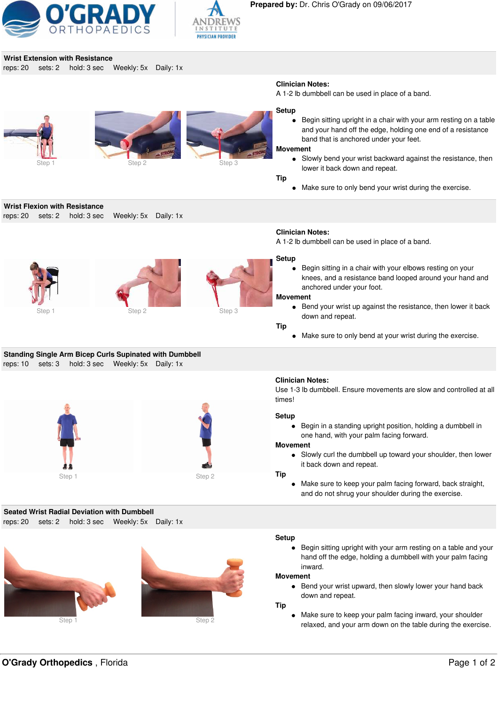



## **Wrist Extension with Resistance**

reps: 20 sets: 2 hold: 3 sec Weekly: 5x Daily: 1x



A 1-2 lb dumbbell can be used in place of a band.





**Setup**

Begin sitting upright in a chair with your arm resting on a table and your hand off the edge, holding one end of a resistance band that is anchored under your feet.

## **Movement**

Slowly bend your wrist backward against the resistance, then lower it back down and repeat.

**Tip**

• Make sure to only bend your wrist during the exercise.

**Wrist Flexion with Resistance**

reps: 20 sets: 2 hold: 3 sec Weekly: 5x Daily: 1x







## **Clinician Notes:**

A 1-2 lb dumbbell can be used in place of a band.

## **Setup**

Begin sitting in a chair with your elbows resting on your knees, and a resistance band looped around your hand and anchored under your foot.

## **Movement**

**Bend your wrist up against the resistance, then lower it back** down and repeat.

## **Tip**

Make sure to only bend at your wrist during the exercise.

## **Standing Single Arm Bicep Curls Supinated with Dumbbell** reps: 10 sets: 3 hold: 3 sec Weekly: 5x Daily: 1x





# **Clinician Notes:**

Use 1-3 lb dumbbell. Ensure movements are slow and controlled at all times!

## **Setup**

Begin in a standing upright position, holding a dumbbell in one hand, with your palm facing forward.

## **Movement**

Slowly curl the dumbbell up toward your shoulder, then lower it back down and repeat.

### **Tip**

Make sure to keep your palm facing forward, back straight, and do not shrug your shoulder during the exercise.

## **Seated Wrist Radial Deviation with Dumbbell** reps: 20 sets: 2 hold: 3 sec Weekly: 5x Daily: 1x





## **Setup**

Begin sitting upright with your arm resting on a table and your hand off the edge, holding a dumbbell with your palm facing inward.

## **Movement**

• Bend your wrist upward, then slowly lower your hand back down and repeat.

**Tip**

Make sure to keep your palm facing inward, your shoulder relaxed, and your arm down on the table during the exercise.